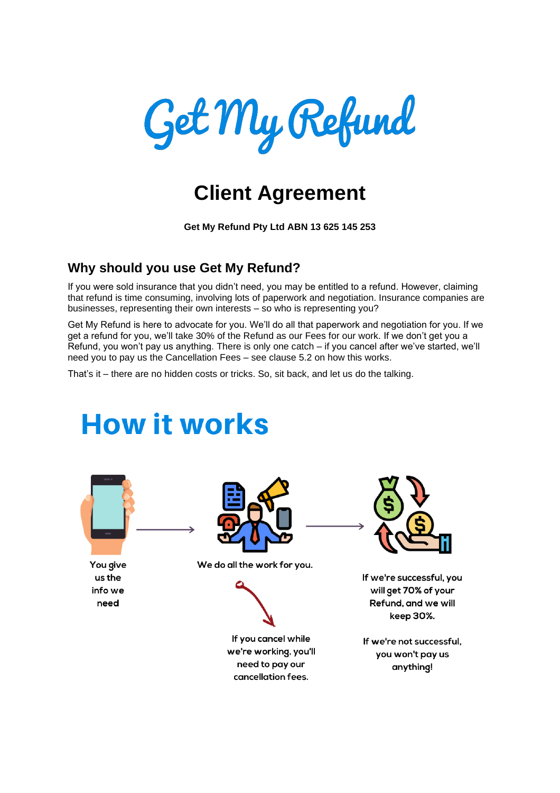

## **Client Agreement**

**Get My Refund Pty Ltd ABN 13 625 145 253**

### **Why should you use Get My Refund?**

If you were sold insurance that you didn't need, you may be entitled to a refund. However, claiming that refund is time consuming, involving lots of paperwork and negotiation. Insurance companies are businesses, representing their own interests – so who is representing you?

Get My Refund is here to advocate for you. We'll do all that paperwork and negotiation for you. If we get a refund for you, we'll take 30% of the Refund as our Fees for our work. If we don't get you a Refund, you won't pay us anything. There is only one catch – if you cancel after we've started, we'll need you to pay us the Cancellation Fees – see clause 5.2 on how this works.

That's it – there are no hidden costs or tricks. So, sit back, and let us do the talking.

# **How it works**



You give us the info we need



We do all the work for you.



If you cancel while we're working, you'll need to pay our cancellation fees.



If we're successful, you will get 70% of your Refund, and we will keep 30%.

If we're not successful, you won't pay us anything!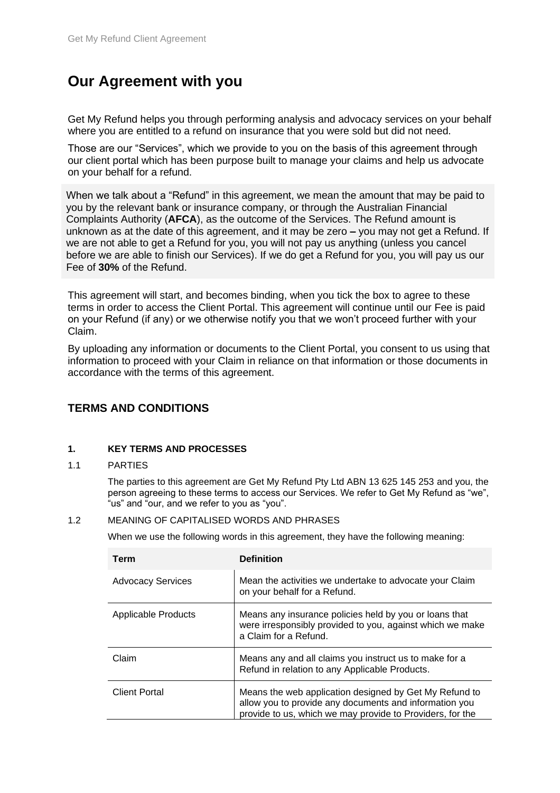## **Our Agreement with you**

Get My Refund helps you through performing analysis and advocacy services on your behalf where you are entitled to a refund on insurance that you were sold but did not need.

Those are our "Services", which we provide to you on the basis of this agreement through our client portal which has been purpose built to manage your claims and help us advocate on your behalf for a refund.

When we talk about a "Refund" in this agreement, we mean the amount that may be paid to you by the relevant bank or insurance company, or through the Australian Financial Complaints Authority (**AFCA**), as the outcome of the Services. The Refund amount is unknown as at the date of this agreement, and it may be zero **–** you may not get a Refund. If we are not able to get a Refund for you, you will not pay us anything (unless you cancel before we are able to finish our Services). If we do get a Refund for you, you will pay us our Fee of **30%** of the Refund.

This agreement will start, and becomes binding, when you tick the box to agree to these terms in order to access the Client Portal. This agreement will continue until our Fee is paid on your Refund (if any) or we otherwise notify you that we won't proceed further with your Claim.

By uploading any information or documents to the Client Portal, you consent to us using that information to proceed with your Claim in reliance on that information or those documents in accordance with the terms of this agreement.

#### **TERMS AND CONDITIONS**

#### **1. KEY TERMS AND PROCESSES**

#### 1.1 PARTIES

The parties to this agreement are Get My Refund Pty Ltd ABN 13 625 145 253 and you, the person agreeing to these terms to access our Services. We refer to Get My Refund as "we", "us" and "our, and we refer to you as "you".

#### 1.2 MEANING OF CAPITALISED WORDS AND PHRASES

When we use the following words in this agreement, they have the following meaning:

| Term                     | <b>Definition</b>                                                                                                                                                             |
|--------------------------|-------------------------------------------------------------------------------------------------------------------------------------------------------------------------------|
| <b>Advocacy Services</b> | Mean the activities we undertake to advocate your Claim<br>on your behalf for a Refund.                                                                                       |
| Applicable Products      | Means any insurance policies held by you or loans that<br>were irresponsibly provided to you, against which we make<br>a Claim for a Refund.                                  |
| Claim                    | Means any and all claims you instruct us to make for a<br>Refund in relation to any Applicable Products.                                                                      |
| <b>Client Portal</b>     | Means the web application designed by Get My Refund to<br>allow you to provide any documents and information you<br>provide to us, which we may provide to Providers, for the |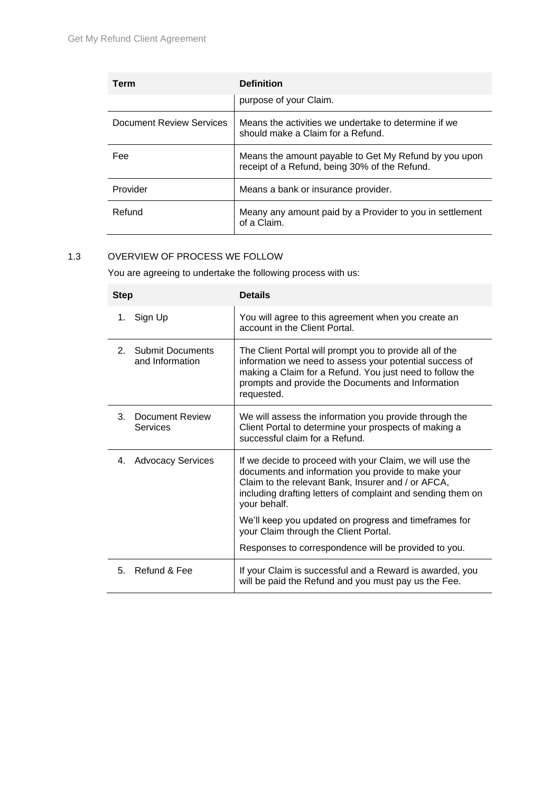| Term                     | <b>Definition</b>                                                                                      |
|--------------------------|--------------------------------------------------------------------------------------------------------|
|                          | purpose of your Claim.                                                                                 |
| Document Review Services | Means the activities we undertake to determine if we<br>should make a Claim for a Refund.              |
| <b>Fee</b>               | Means the amount payable to Get My Refund by you upon<br>receipt of a Refund, being 30% of the Refund. |
| Provider                 | Means a bank or insurance provider.                                                                    |
| Refund                   | Meany any amount paid by a Provider to you in settlement<br>of a Claim.                                |

#### 1.3 OVERVIEW OF PROCESS WE FOLLOW

You are agreeing to undertake the following process with us:

| <b>Step</b>                                                  | <b>Details</b>                                                                                                                                                                                                                                      |
|--------------------------------------------------------------|-----------------------------------------------------------------------------------------------------------------------------------------------------------------------------------------------------------------------------------------------------|
| Sign Up<br>1.                                                | You will agree to this agreement when you create an<br>account in the Client Portal.                                                                                                                                                                |
| <b>Submit Documents</b><br>2 <sup>1</sup><br>and Information | The Client Portal will prompt you to provide all of the<br>information we need to assess your potential success of<br>making a Claim for a Refund. You just need to follow the<br>prompts and provide the Documents and Information<br>requested.   |
| 3.<br>Document Review<br>Services                            | We will assess the information you provide through the<br>Client Portal to determine your prospects of making a<br>successful claim for a Refund.                                                                                                   |
| 4. Advocacy Services                                         | If we decide to proceed with your Claim, we will use the<br>documents and information you provide to make your<br>Claim to the relevant Bank, Insurer and / or AFCA,<br>including drafting letters of complaint and sending them on<br>your behalf. |
|                                                              | We'll keep you updated on progress and timeframes for<br>your Claim through the Client Portal.                                                                                                                                                      |
|                                                              | Responses to correspondence will be provided to you.                                                                                                                                                                                                |
| Refund & Fee<br>5.                                           | If your Claim is successful and a Reward is awarded, you<br>will be paid the Refund and you must pay us the Fee.                                                                                                                                    |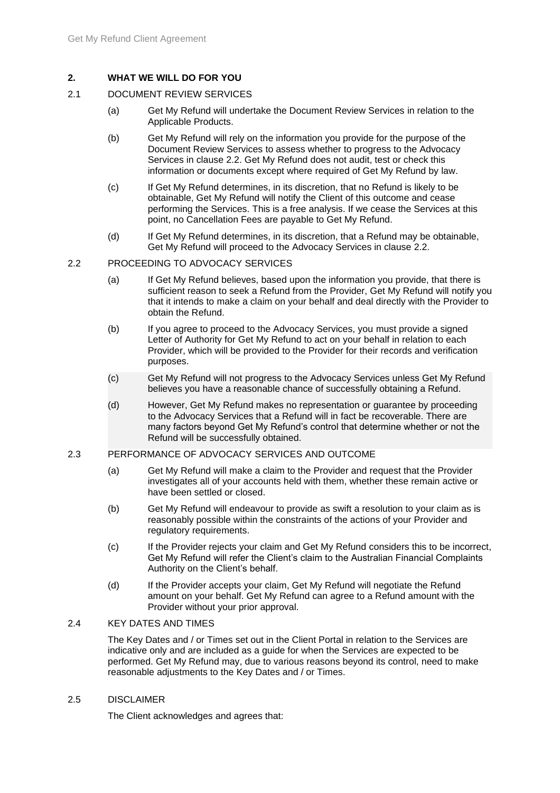#### **2. WHAT WE WILL DO FOR YOU**

#### 2.1 DOCUMENT REVIEW SERVICES

- (a) Get My Refund will undertake the Document Review Services in relation to the Applicable Products.
- (b) Get My Refund will rely on the information you provide for the purpose of the Document Review Services to assess whether to progress to the Advocacy Services in clause [2.2.](#page-3-0) Get My Refund does not audit, test or check this information or documents except where required of Get My Refund by law.
- (c) If Get My Refund determines, in its discretion, that no Refund is likely to be obtainable, Get My Refund will notify the Client of this outcome and cease performing the Services. This is a free analysis. If we cease the Services at this point, no Cancellation Fees are payable to Get My Refund.
- (d) If Get My Refund determines, in its discretion, that a Refund may be obtainable, Get My Refund will proceed to the Advocacy Services in clause [2.2.](#page-3-0)

#### <span id="page-3-0"></span>2.2 PROCEEDING TO ADVOCACY SERVICES

- (a) If Get My Refund believes, based upon the information you provide, that there is sufficient reason to seek a Refund from the Provider, Get My Refund will notify you that it intends to make a claim on your behalf and deal directly with the Provider to obtain the Refund.
- (b) If you agree to proceed to the Advocacy Services, you must provide a signed Letter of Authority for Get My Refund to act on your behalf in relation to each Provider, which will be provided to the Provider for their records and verification purposes.
- (c) Get My Refund will not progress to the Advocacy Services unless Get My Refund believes you have a reasonable chance of successfully obtaining a Refund.
- (d) However, Get My Refund makes no representation or guarantee by proceeding to the Advocacy Services that a Refund will in fact be recoverable. There are many factors beyond Get My Refund's control that determine whether or not the Refund will be successfully obtained.

#### 2.3 PERFORMANCE OF ADVOCACY SERVICES AND OUTCOME

- (a) Get My Refund will make a claim to the Provider and request that the Provider investigates all of your accounts held with them, whether these remain active or have been settled or closed.
- (b) Get My Refund will endeavour to provide as swift a resolution to your claim as is reasonably possible within the constraints of the actions of your Provider and regulatory requirements.
- (c) If the Provider rejects your claim and Get My Refund considers this to be incorrect, Get My Refund will refer the Client's claim to the Australian Financial Complaints Authority on the Client's behalf.
- (d) If the Provider accepts your claim, Get My Refund will negotiate the Refund amount on your behalf. Get My Refund can agree to a Refund amount with the Provider without your prior approval.

#### 2.4 KEY DATES AND TIMES

The Key Dates and / or Times set out in the Client Portal in relation to the Services are indicative only and are included as a guide for when the Services are expected to be performed. Get My Refund may, due to various reasons beyond its control, need to make reasonable adjustments to the Key Dates and / or Times.

#### 2.5 DISCLAIMER

The Client acknowledges and agrees that: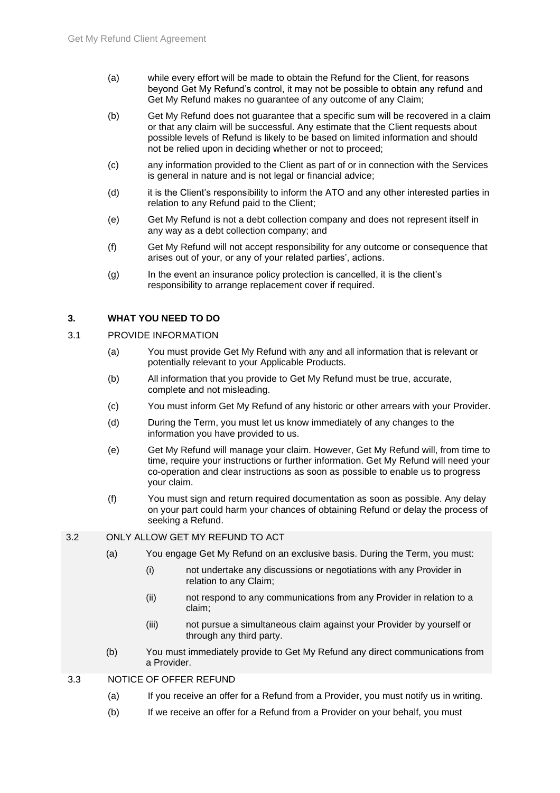- (a) while every effort will be made to obtain the Refund for the Client, for reasons beyond Get My Refund's control, it may not be possible to obtain any refund and Get My Refund makes no guarantee of any outcome of any Claim;
- (b) Get My Refund does not guarantee that a specific sum will be recovered in a claim or that any claim will be successful. Any estimate that the Client requests about possible levels of Refund is likely to be based on limited information and should not be relied upon in deciding whether or not to proceed;
- (c) any information provided to the Client as part of or in connection with the Services is general in nature and is not legal or financial advice;
- (d) it is the Client's responsibility to inform the ATO and any other interested parties in relation to any Refund paid to the Client;
- (e) Get My Refund is not a debt collection company and does not represent itself in any way as a debt collection company; and
- (f) Get My Refund will not accept responsibility for any outcome or consequence that arises out of your, or any of your related parties', actions.
- (g) In the event an insurance policy protection is cancelled, it is the client's responsibility to arrange replacement cover if required.

#### **3. WHAT YOU NEED TO DO**

#### 3.1 PROVIDE INFORMATION

- (a) You must provide Get My Refund with any and all information that is relevant or potentially relevant to your Applicable Products.
- (b) All information that you provide to Get My Refund must be true, accurate, complete and not misleading.
- (c) You must inform Get My Refund of any historic or other arrears with your Provider.
- (d) During the Term, you must let us know immediately of any changes to the information you have provided to us.
- (e) Get My Refund will manage your claim. However, Get My Refund will, from time to time, require your instructions or further information. Get My Refund will need your co-operation and clear instructions as soon as possible to enable us to progress your claim.
- (f) You must sign and return required documentation as soon as possible. Any delay on your part could harm your chances of obtaining Refund or delay the process of seeking a Refund.

#### 3.2 ONLY ALLOW GET MY REFUND TO ACT

- (a) You engage Get My Refund on an exclusive basis. During the Term, you must:
	- (i) not undertake any discussions or negotiations with any Provider in relation to any Claim;
	- (ii) not respond to any communications from any Provider in relation to a claim;
	- (iii) not pursue a simultaneous claim against your Provider by yourself or through any third party.
- (b) You must immediately provide to Get My Refund any direct communications from a Provider.
- 3.3 NOTICE OF OFFER REFUND
	- (a) If you receive an offer for a Refund from a Provider, you must notify us in writing.
	- (b) If we receive an offer for a Refund from a Provider on your behalf, you must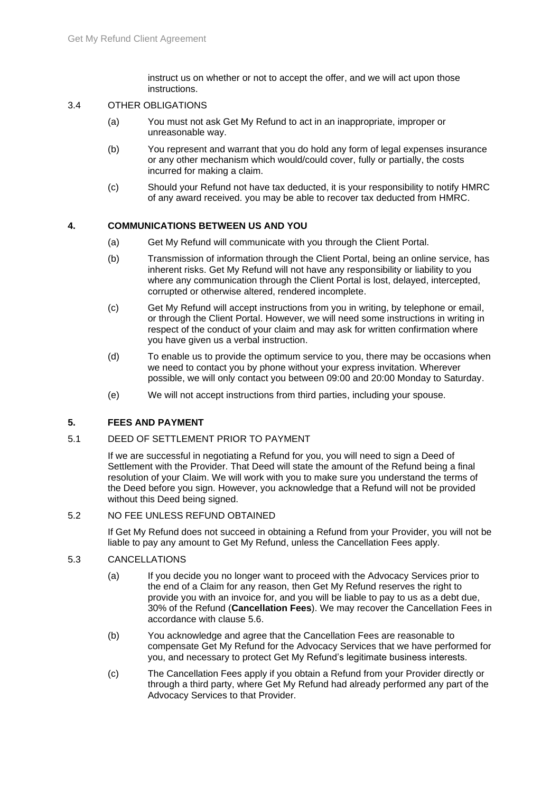instruct us on whether or not to accept the offer, and we will act upon those instructions.

#### 3.4 OTHER OBLIGATIONS

- (a) You must not ask Get My Refund to act in an inappropriate, improper or unreasonable way.
- (b) You represent and warrant that you do hold any form of legal expenses insurance or any other mechanism which would/could cover, fully or partially, the costs incurred for making a claim.
- (c) Should your Refund not have tax deducted, it is your responsibility to notify HMRC of any award received. you may be able to recover tax deducted from HMRC.

#### **4. COMMUNICATIONS BETWEEN US AND YOU**

- (a) Get My Refund will communicate with you through the Client Portal.
- (b) Transmission of information through the Client Portal, being an online service, has inherent risks. Get My Refund will not have any responsibility or liability to you where any communication through the Client Portal is lost, delayed, intercepted, corrupted or otherwise altered, rendered incomplete.
- (c) Get My Refund will accept instructions from you in writing, by telephone or email, or through the Client Portal. However, we will need some instructions in writing in respect of the conduct of your claim and may ask for written confirmation where you have given us a verbal instruction.
- (d) To enable us to provide the optimum service to you, there may be occasions when we need to contact you by phone without your express invitation. Wherever possible, we will only contact you between 09:00 and 20:00 Monday to Saturday.
- (e) We will not accept instructions from third parties, including your spouse.

#### **5. FEES AND PAYMENT**

#### 5.1 DEED OF SETTLEMENT PRIOR TO PAYMENT

If we are successful in negotiating a Refund for you, you will need to sign a Deed of Settlement with the Provider. That Deed will state the amount of the Refund being a final resolution of your Claim. We will work with you to make sure you understand the terms of the Deed before you sign. However, you acknowledge that a Refund will not be provided without this Deed being signed.

#### 5.2 NO FEE UNLESS REFUND OBTAINED

If Get My Refund does not succeed in obtaining a Refund from your Provider, you will not be liable to pay any amount to Get My Refund, unless the Cancellation Fees apply.

#### 5.3 CANCELLATIONS

- (a) If you decide you no longer want to proceed with the Advocacy Services prior to the end of a Claim for any reason, then Get My Refund reserves the right to provide you with an invoice for, and you will be liable to pay to us as a debt due, 30% of the Refund (**Cancellation Fees**). We may recover the Cancellation Fees in accordance with clause [5.6.](#page-6-0)
- (b) You acknowledge and agree that the Cancellation Fees are reasonable to compensate Get My Refund for the Advocacy Services that we have performed for you, and necessary to protect Get My Refund's legitimate business interests.
- (c) The Cancellation Fees apply if you obtain a Refund from your Provider directly or through a third party, where Get My Refund had already performed any part of the Advocacy Services to that Provider.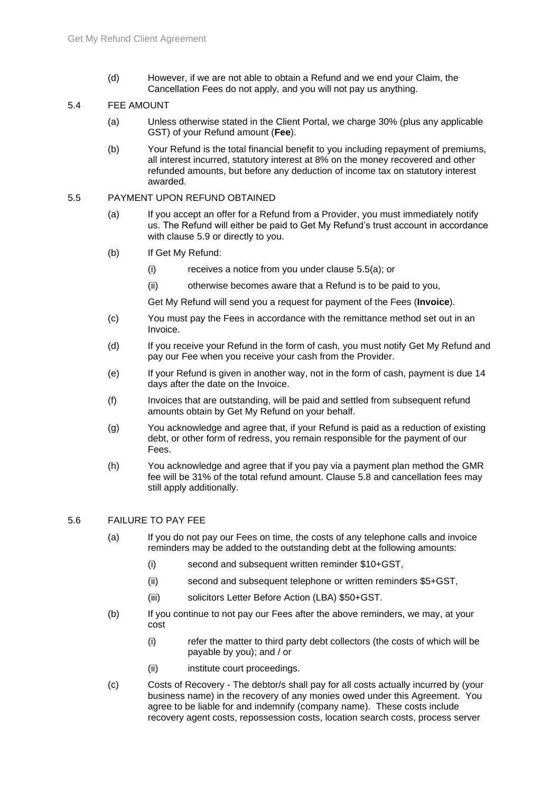(d) However, if we are not able to obtain a Refund and we end your Claim, the Cancellation Fees do not apply, and you will not pay us anything.

#### 5.4 FEE AMOUNT

- (a) Unless otherwise stated in the Client Portal, we charge 30% (plus any applicable GST) of your Refund amount (**Fee**).
- (b) Your Refund is the total financial benefit to you including repayment of premiums, all interest incurred, statutory interest at 8% on the money recovered and other refunded amounts, but before any deduction of income tax on statutory interest awarded.

#### <span id="page-6-1"></span>5.5 PAYMENT UPON REFUND OBTAINED

- (a) If you accept an offer for a Refund from a Provider, you must immediately notify us. The Refund will either be paid to Get My Refund's trust account in accordance with clause [5.9](#page-7-0) or directly to you.
- (b) If Get My Refund:
	- (i) receives a notice from you under clause [5.5\(a\);](#page-6-1) or
	- (ii) otherwise becomes aware that a Refund is to be paid to you,

Get My Refund will send you a request for payment of the Fees (**Invoice**).

- (c) You must pay the Fees in accordance with the remittance method set out in an Invoice.
- (d) If you receive your Refund in the form of cash, you must notify Get My Refund and pay our Fee when you receive your cash from the Provider.
- (e) If your Refund is given in another way, not in the form of cash, payment is due 14 days after the date on the Invoice.
- (f) Invoices that are outstanding, will be paid and settled from subsequent refund amounts obtain by Get My Refund on your behalf.
- (g) You acknowledge and agree that, if your Refund is paid as a reduction of existing debt, or other form of redress, you remain responsible for the payment of our Fees.
- (h) You acknowledge and agree that if you pay via a payment plan method the GMR fee will be 31% of the total refund amount. Clause 5.8 and cancellation fees may still apply additionally.

#### <span id="page-6-0"></span>5.6 FAILURE TO PAY FEE

- (a) If you do not pay our Fees on time, the costs of any telephone calls and invoice reminders may be added to the outstanding debt at the following amounts:
	- (i) second and subsequent written reminder \$10+GST,
	- (ii) second and subsequent telephone or written reminders \$5+GST,
	- (iii) solicitors Letter Before Action (LBA) \$50+GST.
- (b) If you continue to not pay our Fees after the above reminders, we may, at your cost
	- (i) refer the matter to third party debt collectors (the costs of which will be payable by you); and / or
	- (ii) institute court proceedings.
- (c) Costs of Recovery The debtor/s shall pay for all costs actually incurred by (your business name) in the recovery of any monies owed under this Agreement. You agree to be liable for and indemnify (company name). These costs include recovery agent costs, repossession costs, location search costs, process server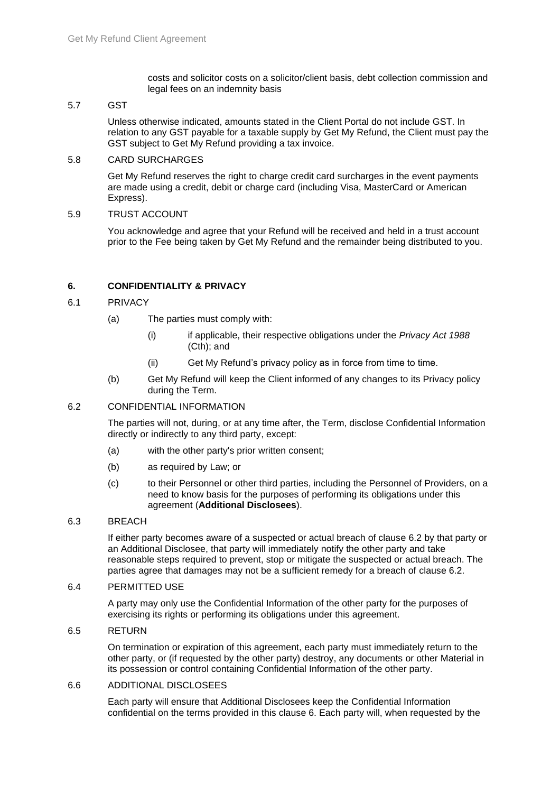costs and solicitor costs on a solicitor/client basis, debt collection commission and legal fees on an indemnity basis

#### 5.7 GST

Unless otherwise indicated, amounts stated in the Client Portal do not include GST. In relation to any GST payable for a taxable supply by Get My Refund, the Client must pay the GST subject to Get My Refund providing a tax invoice.

#### 5.8 CARD SURCHARGES

Get My Refund reserves the right to charge credit card surcharges in the event payments are made using a credit, debit or charge card (including Visa, MasterCard or American Express).

#### <span id="page-7-0"></span>5.9 TRUST ACCOUNT

You acknowledge and agree that your Refund will be received and held in a trust account prior to the Fee being taken by Get My Refund and the remainder being distributed to you.

#### <span id="page-7-2"></span>**6. CONFIDENTIALITY & PRIVACY**

#### 6.1 PRIVACY

- (a) The parties must comply with:
	- (i) if applicable, their respective obligations under the *Privacy Act 1988* (Cth); and
	- (ii) Get My Refund's privacy policy as in force from time to time.
- (b) Get My Refund will keep the Client informed of any changes to its Privacy policy during the Term.

#### <span id="page-7-1"></span>6.2 CONFIDENTIAL INFORMATION

The parties will not, during, or at any time after, the Term, disclose Confidential Information directly or indirectly to any third party, except:

- (a) with the other party's prior written consent;
- (b) as required by Law; or
- (c) to their Personnel or other third parties, including the Personnel of Providers, on a need to know basis for the purposes of performing its obligations under this agreement (**Additional Disclosees**).

#### 6.3 BREACH

If either party becomes aware of a suspected or actual breach of clause [6.2](#page-7-1) by that party or an Additional Disclosee, that party will immediately notify the other party and take reasonable steps required to prevent, stop or mitigate the suspected or actual breach. The parties agree that damages may not be a sufficient remedy for a breach of clause [6.2.](#page-7-1)

#### 6.4 PERMITTED USE

A party may only use the Confidential Information of the other party for the purposes of exercising its rights or performing its obligations under this agreement.

6.5 RETURN

On termination or expiration of this agreement, each party must immediately return to the other party, or (if requested by the other party) destroy, any documents or other Material in its possession or control containing Confidential Information of the other party.

#### 6.6 ADDITIONAL DISCLOSEES

Each party will ensure that Additional Disclosees keep the Confidential Information confidential on the terms provided in this clause [6.](#page-7-2) Each party will, when requested by the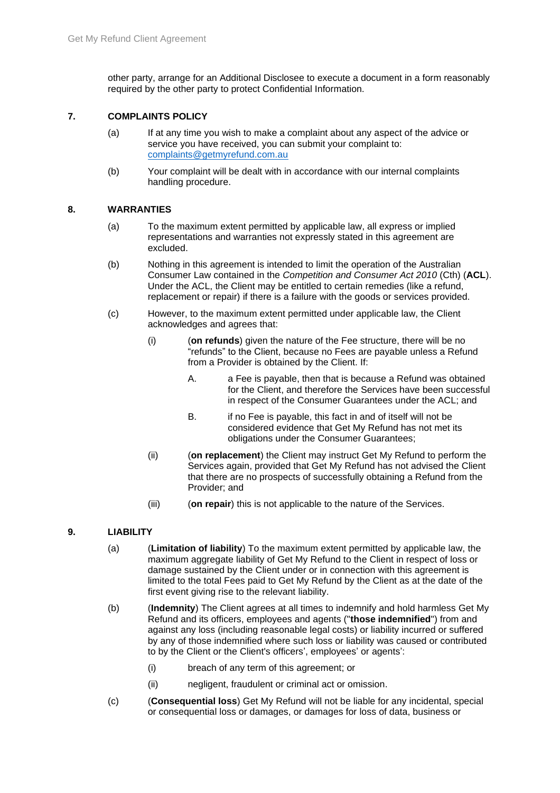other party, arrange for an Additional Disclosee to execute a document in a form reasonably required by the other party to protect Confidential Information.

#### **7. COMPLAINTS POLICY**

- (a) If at any time you wish to make a complaint about any aspect of the advice or service you have received, you can submit your complaint to: [complaints@getmyrefund.com.au](mailto:complaints@getmyrefund.com.au)
- (b) Your complaint will be dealt with in accordance with our internal complaints handling procedure.

#### **8. WARRANTIES**

- (a) To the maximum extent permitted by applicable law, all express or implied representations and warranties not expressly stated in this agreement are excluded.
- (b) Nothing in this agreement is intended to limit the operation of the Australian Consumer Law contained in the *Competition and Consumer Act 2010* (Cth) (**ACL**). Under the ACL, the Client may be entitled to certain remedies (like a refund, replacement or repair) if there is a failure with the goods or services provided.
- (c) However, to the maximum extent permitted under applicable law, the Client acknowledges and agrees that:
	- (i) (**on refunds**) given the nature of the Fee structure, there will be no "refunds" to the Client, because no Fees are payable unless a Refund from a Provider is obtained by the Client. If:
		- A. a Fee is payable, then that is because a Refund was obtained for the Client, and therefore the Services have been successful in respect of the Consumer Guarantees under the ACL; and
		- B. if no Fee is payable, this fact in and of itself will not be considered evidence that Get My Refund has not met its obligations under the Consumer Guarantees;
	- (ii) (**on replacement**) the Client may instruct Get My Refund to perform the Services again, provided that Get My Refund has not advised the Client that there are no prospects of successfully obtaining a Refund from the Provider; and
	- (iii) (**on repair**) this is not applicable to the nature of the Services.

#### **9. LIABILITY**

- (a) (**Limitation of liability**) To the maximum extent permitted by applicable law, the maximum aggregate liability of Get My Refund to the Client in respect of loss or damage sustained by the Client under or in connection with this agreement is limited to the total Fees paid to Get My Refund by the Client as at the date of the first event giving rise to the relevant liability.
- (b) (**Indemnity**) The Client agrees at all times to indemnify and hold harmless Get My Refund and its officers, employees and agents ("**those indemnified**") from and against any loss (including reasonable legal costs) or liability incurred or suffered by any of those indemnified where such loss or liability was caused or contributed to by the Client or the Client's officers', employees' or agents':
	- (i) breach of any term of this agreement; or
	- (ii) negligent, fraudulent or criminal act or omission.
- (c) (**Consequential loss**) Get My Refund will not be liable for any incidental, special or consequential loss or damages, or damages for loss of data, business or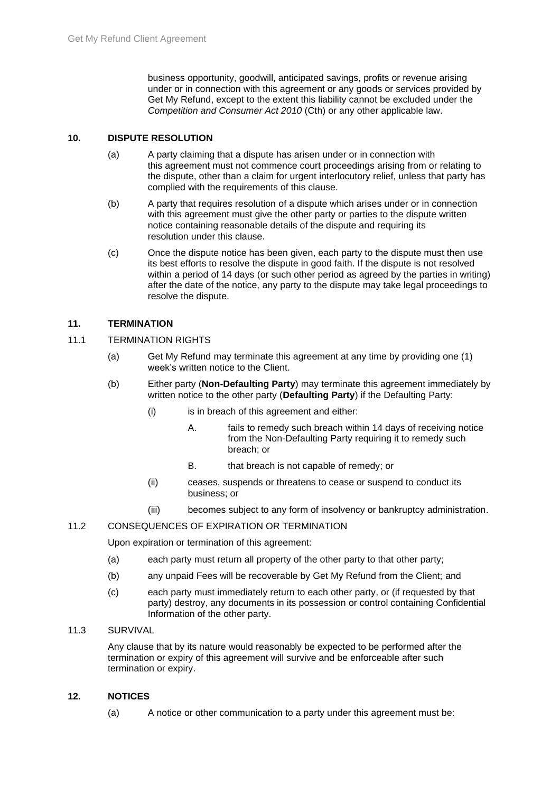business opportunity, goodwill, anticipated savings, profits or revenue arising under or in connection with this agreement or any goods or services provided by Get My Refund, except to the extent this liability cannot be excluded under the *Competition and Consumer Act 2010* (Cth) or any other applicable law.

#### **10. DISPUTE RESOLUTION**

- (a) A party claiming that a dispute has arisen under or in connection with this agreement must not commence court proceedings arising from or relating to the dispute, other than a claim for urgent interlocutory relief, unless that party has complied with the requirements of this clause.
- (b) A party that requires resolution of a dispute which arises under or in connection with this agreement must give the other party or parties to the dispute written notice containing reasonable details of the dispute and requiring its resolution under this clause.
- (c) Once the dispute notice has been given, each party to the dispute must then use its best efforts to resolve the dispute in good faith. If the dispute is not resolved within a period of 14 days (or such other period as agreed by the parties in writing) after the date of the notice, any party to the dispute may take legal proceedings to resolve the dispute.

#### **11. TERMINATION**

- 11.1 TERMINATION RIGHTS
	- (a) Get My Refund may terminate this agreement at any time by providing one (1) week's written notice to the Client.
	- (b) Either party (**Non-Defaulting Party**) may terminate this agreement immediately by written notice to the other party (**Defaulting Party**) if the Defaulting Party:
		- (i) is in breach of this agreement and either:
			- A. fails to remedy such breach within 14 days of receiving notice from the Non-Defaulting Party requiring it to remedy such breach; or
			- B. that breach is not capable of remedy; or
		- (ii) ceases, suspends or threatens to cease or suspend to conduct its business; or
		- (iii) becomes subject to any form of insolvency or bankruptcy administration.

#### 11.2 CONSEQUENCES OF EXPIRATION OR TERMINATION

Upon expiration or termination of this agreement:

- (a) each party must return all property of the other party to that other party;
- (b) any unpaid Fees will be recoverable by Get My Refund from the Client; and
- (c) each party must immediately return to each other party, or (if requested by that party) destroy, any documents in its possession or control containing Confidential Information of the other party.

#### 11.3 SURVIVAL

Any clause that by its nature would reasonably be expected to be performed after the termination or expiry of this agreement will survive and be enforceable after such termination or expiry.

#### **12. NOTICES**

(a) A notice or other communication to a party under this agreement must be: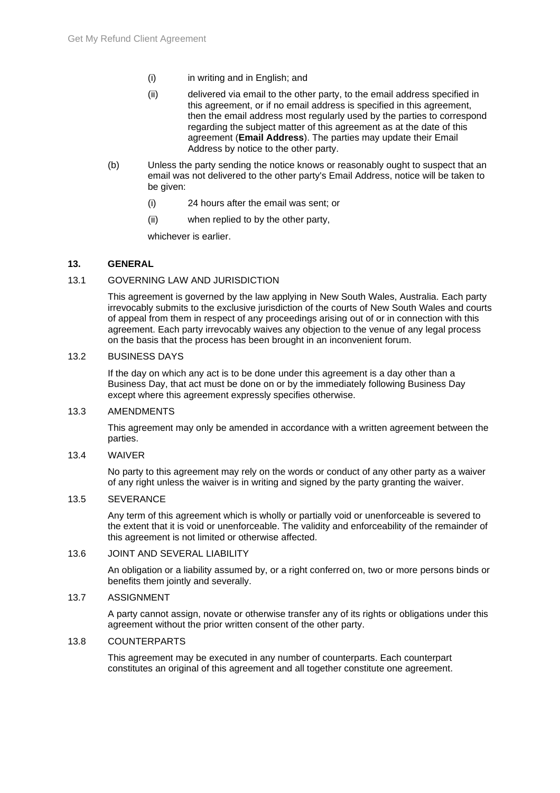- (i) in writing and in English; and
- (ii) delivered via email to the other party, to the email address specified in this agreement, or if no email address is specified in this agreement, then the email address most regularly used by the parties to correspond regarding the subject matter of this agreement as at the date of this agreement (**Email Address**). The parties may update their Email Address by notice to the other party.
- (b) Unless the party sending the notice knows or reasonably ought to suspect that an email was not delivered to the other party's Email Address, notice will be taken to be given:
	- (i) 24 hours after the email was sent; or
	- (ii) when replied to by the other party,

whichever is earlier.

#### **13. GENERAL**

#### 13.1 GOVERNING LAW AND JURISDICTION

This agreement is governed by the law applying in New South Wales, Australia. Each party irrevocably submits to the exclusive jurisdiction of the courts of New South Wales and courts of appeal from them in respect of any proceedings arising out of or in connection with this agreement. Each party irrevocably waives any objection to the venue of any legal process on the basis that the process has been brought in an inconvenient forum.

#### 13.2 BUSINESS DAYS

If the day on which any act is to be done under this agreement is a day other than a Business Day, that act must be done on or by the immediately following Business Day except where this agreement expressly specifies otherwise.

#### 13.3 AMENDMENTS

This agreement may only be amended in accordance with a written agreement between the parties.

#### 13.4 WAIVER

No party to this agreement may rely on the words or conduct of any other party as a waiver of any right unless the waiver is in writing and signed by the party granting the waiver.

#### 13.5 SEVERANCE

Any term of this agreement which is wholly or partially void or unenforceable is severed to the extent that it is void or unenforceable. The validity and enforceability of the remainder of this agreement is not limited or otherwise affected.

#### 13.6 JOINT AND SEVERAL LIABILITY

An obligation or a liability assumed by, or a right conferred on, two or more persons binds or benefits them jointly and severally.

#### 13.7 ASSIGNMENT

A party cannot assign, novate or otherwise transfer any of its rights or obligations under this agreement without the prior written consent of the other party.

#### 13.8 COUNTERPARTS

This agreement may be executed in any number of counterparts. Each counterpart constitutes an original of this agreement and all together constitute one agreement.